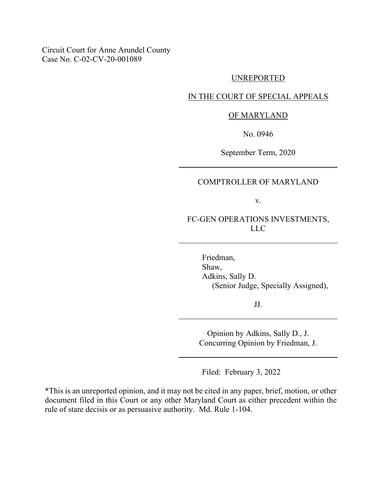Circuit Court for Anne Arundel County Case No. C-02-CV-20-001089

#### UNREPORTED

# IN THE COURT OF SPECIAL APPEALS

#### OF MARYLAND

No. 0946

September Term, 2020

# COMPTROLLER OF MARYLAND

v.

FC-GEN OPERATIONS INVESTMENTS, LLC

> Friedman, Shaw, Adkins, Sally D. (Senior Judge, Specially Assigned),

> > JJ.

Opinion by Adkins, Sally D., J. Concurring Opinion by Friedman, J.

Filed: February 3, 2022

\*This is an unreported opinion, and it may not be cited in any paper, brief, motion, or other document filed in this Court or any other Maryland Court as either precedent within the rule of stare decisis or as persuasive authority. Md. Rule 1-104.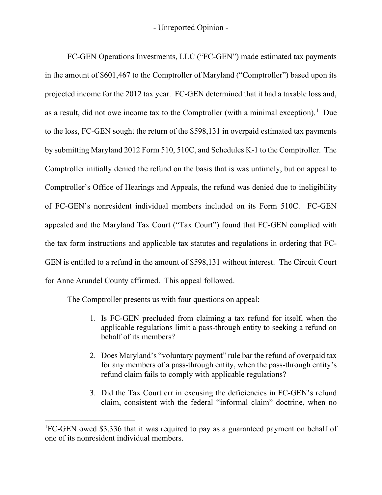FC-GEN Operations Investments, LLC ("FC-GEN") made estimated tax payments in the amount of \$601,467 to the Comptroller of Maryland ("Comptroller") based upon its projected income for the 2012 tax year. FC-GEN determined that it had a taxable loss and, as a result, did not owe income tax to the Comptroller (with a minimal exception).<sup>[1](#page-1-0)</sup> Due to the loss, FC-GEN sought the return of the \$598,131 in overpaid estimated tax payments by submitting Maryland 2012 Form 510, 510C, and Schedules K-1 to the Comptroller. The Comptroller initially denied the refund on the basis that is was untimely, but on appeal to Comptroller's Office of Hearings and Appeals, the refund was denied due to ineligibility of FC-GEN's nonresident individual members included on its Form 510C. FC-GEN appealed and the Maryland Tax Court ("Tax Court") found that FC-GEN complied with the tax form instructions and applicable tax statutes and regulations in ordering that FC-GEN is entitled to a refund in the amount of \$598,131 without interest. The Circuit Court for Anne Arundel County affirmed. This appeal followed.

The Comptroller presents us with four questions on appeal:

- 1. Is FC-GEN precluded from claiming a tax refund for itself, when the applicable regulations limit a pass-through entity to seeking a refund on behalf of its members?
- 2. Does Maryland's "voluntary payment" rule bar the refund of overpaid tax for any members of a pass-through entity, when the pass-through entity's refund claim fails to comply with applicable regulations?
- 3. Did the Tax Court err in excusing the deficiencies in FC-GEN's refund claim, consistent with the federal "informal claim" doctrine, when no

<span id="page-1-0"></span><sup>&</sup>lt;sup>1</sup>FC-GEN owed \$3,336 that it was required to pay as a guaranteed payment on behalf of one of its nonresident individual members.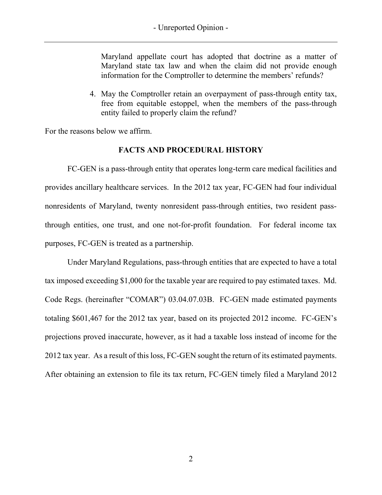Maryland appellate court has adopted that doctrine as a matter of Maryland state tax law and when the claim did not provide enough information for the Comptroller to determine the members' refunds?

4. May the Comptroller retain an overpayment of pass-through entity tax, free from equitable estoppel, when the members of the pass-through entity failed to properly claim the refund?

For the reasons below we affirm.

# **FACTS AND PROCEDURAL HISTORY**

FC-GEN is a pass-through entity that operates long-term care medical facilities and provides ancillary healthcare services. In the 2012 tax year, FC-GEN had four individual nonresidents of Maryland, twenty nonresident pass-through entities, two resident passthrough entities, one trust, and one not-for-profit foundation. For federal income tax purposes, FC-GEN is treated as a partnership.

Under Maryland Regulations, pass-through entities that are expected to have a total tax imposed exceeding \$1,000 for the taxable year are required to pay estimated taxes. Md. Code Regs. (hereinafter "COMAR") 03.04.07.03B. FC-GEN made estimated payments totaling \$601,467 for the 2012 tax year, based on its projected 2012 income. FC-GEN's projections proved inaccurate, however, as it had a taxable loss instead of income for the 2012 tax year. As a result of this loss, FC-GEN sought the return of its estimated payments. After obtaining an extension to file its tax return, FC-GEN timely filed a Maryland 2012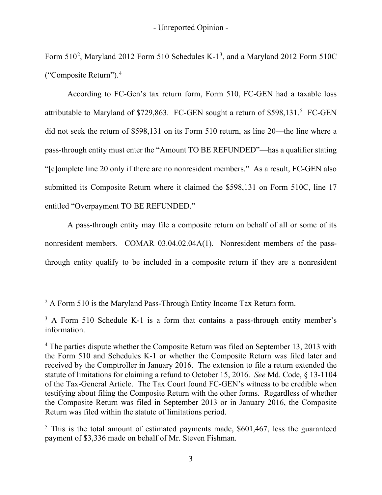Form  $510^2$  $510^2$ , Maryland 2012 Form  $510$  Schedules K-1<sup>[3](#page-3-1)</sup>, and a Maryland 2012 Form  $510C$ ("Composite Return").[4](#page-3-2)

According to FC-Gen's tax return form, Form 510, FC-GEN had a taxable loss attributable to Maryland of \$729,863. FC-GEN sought a return of \$[5](#page-3-3)98,131.<sup>5</sup> FC-GEN did not seek the return of \$598,131 on its Form 510 return, as line 20—the line where a pass-through entity must enter the "Amount TO BE REFUNDED"—has a qualifier stating "[c]omplete line 20 only if there are no nonresident members." As a result, FC-GEN also submitted its Composite Return where it claimed the \$598,131 on Form 510C, line 17 entitled "Overpayment TO BE REFUNDED."

A pass-through entity may file a composite return on behalf of all or some of its nonresident members. COMAR 03.04.02.04A(1). Nonresident members of the passthrough entity qualify to be included in a composite return if they are a nonresident

<span id="page-3-0"></span> $2 A$  Form 510 is the Maryland Pass-Through Entity Income Tax Return form.

<span id="page-3-1"></span><sup>&</sup>lt;sup>3</sup> A Form 510 Schedule K-1 is a form that contains a pass-through entity member's information.

<span id="page-3-2"></span><sup>4</sup> The parties dispute whether the Composite Return was filed on September 13, 2013 with the Form 510 and Schedules K-1 or whether the Composite Return was filed later and received by the Comptroller in January 2016. The extension to file a return extended the statute of limitations for claiming a refund to October 15, 2016. *See* Md. Code, § 13-1104 of the Tax-General Article. The Tax Court found FC-GEN's witness to be credible when testifying about filing the Composite Return with the other forms. Regardless of whether the Composite Return was filed in September 2013 or in January 2016, the Composite Return was filed within the statute of limitations period.

<span id="page-3-3"></span> $5$  This is the total amount of estimated payments made,  $$601,467$ , less the guaranteed payment of \$3,336 made on behalf of Mr. Steven Fishman.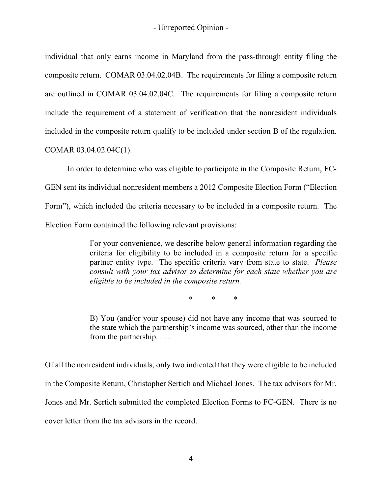individual that only earns income in Maryland from the pass-through entity filing the composite return. COMAR 03.04.02.04B. The requirements for filing a composite return are outlined in COMAR 03.04.02.04C. The requirements for filing a composite return include the requirement of a statement of verification that the nonresident individuals included in the composite return qualify to be included under section B of the regulation. COMAR 03.04.02.04C(1).

In order to determine who was eligible to participate in the Composite Return, FC-GEN sent its individual nonresident members a 2012 Composite Election Form ("Election Form"), which included the criteria necessary to be included in a composite return. The Election Form contained the following relevant provisions:

> For your convenience, we describe below general information regarding the criteria for eligibility to be included in a composite return for a specific partner entity type. The specific criteria vary from state to state. *Please consult with your tax advisor to determine for each state whether you are eligible to be included in the composite return.*

> > \* \* \*

B) You (and/or your spouse) did not have any income that was sourced to the state which the partnership's income was sourced, other than the income from the partnership. . . .

Of all the nonresident individuals, only two indicated that they were eligible to be included in the Composite Return, Christopher Sertich and Michael Jones. The tax advisors for Mr. Jones and Mr. Sertich submitted the completed Election Forms to FC-GEN. There is no cover letter from the tax advisors in the record.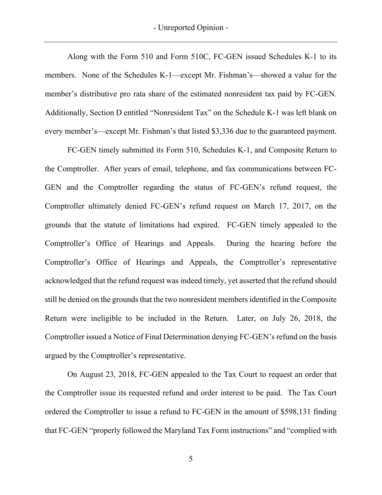- Unreported Opinion -

Along with the Form 510 and Form 510C, FC-GEN issued Schedules K-1 to its members. None of the Schedules K-1—except Mr. Fishman's—showed a value for the member's distributive pro rata share of the estimated nonresident tax paid by FC-GEN. Additionally, Section D entitled "Nonresident Tax" on the Schedule K-1 was left blank on every member's—except Mr. Fishman's that listed \$3,336 due to the guaranteed payment.

FC-GEN timely submitted its Form 510, Schedules K-1, and Composite Return to the Comptroller. After years of email, telephone, and fax communications between FC-GEN and the Comptroller regarding the status of FC-GEN's refund request, the Comptroller ultimately denied FC-GEN's refund request on March 17, 2017, on the grounds that the statute of limitations had expired. FC-GEN timely appealed to the Comptroller's Office of Hearings and Appeals. During the hearing before the Comptroller's Office of Hearings and Appeals, the Comptroller's representative acknowledged that the refund request was indeed timely, yet asserted that the refund should still be denied on the grounds that the two nonresident members identified in the Composite Return were ineligible to be included in the Return. Later, on July 26, 2018, the Comptroller issued a Notice of Final Determination denying FC-GEN's refund on the basis argued by the Comptroller's representative.

On August 23, 2018, FC-GEN appealed to the Tax Court to request an order that the Comptroller issue its requested refund and order interest to be paid. The Tax Court ordered the Comptroller to issue a refund to FC-GEN in the amount of \$598,131 finding that FC-GEN "properly followed the Maryland Tax Form instructions" and "complied with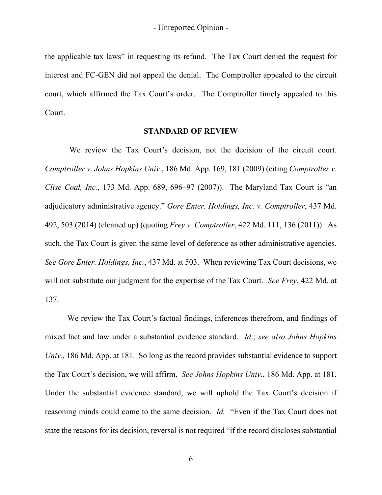the applicable tax laws" in requesting its refund. The Tax Court denied the request for interest and FC-GEN did not appeal the denial. The Comptroller appealed to the circuit court, which affirmed the Tax Court's order. The Comptroller timely appealed to this Court.

#### **STANDARD OF REVIEW**

We review the Tax Court's decision, not the decision of the circuit court. *Comptroller v. Johns Hopkins Univ.*, 186 Md. App. 169, 181 (2009) (citing *Comptroller v. Clise Coal, Inc.*, 173 Md. App. 689, 696–97 (2007)). The Maryland Tax Court is "an adjudicatory administrative agency." *Gore Enter. Holdings, Inc. v. Comptroller*, 437 Md. 492, 503 (2014) (cleaned up) (quoting *Frey v. Comptroller*, 422 Md. 111, 136 (2011)). As such, the Tax Court is given the same level of deference as other administrative agencies. *See Gore Enter. Holdings, Inc.*, 437 Md. at 503. When reviewing Tax Court decisions, we will not substitute our judgment for the expertise of the Tax Court. *See Frey*, 422 Md. at 137.

We review the Tax Court's factual findings, inferences therefrom, and findings of mixed fact and law under a substantial evidence standard. *Id*.; *see also Johns Hopkins Univ.*, 186 Md. App. at 181. So long as the record provides substantial evidence to support the Tax Court's decision, we will affirm. *See Johns Hopkins Univ.*, 186 Md. App. at 181. Under the substantial evidence standard, we will uphold the Tax Court's decision if reasoning minds could come to the same decision. *Id.* "Even if the Tax Court does not state the reasons for its decision, reversal is not required "if the record discloses substantial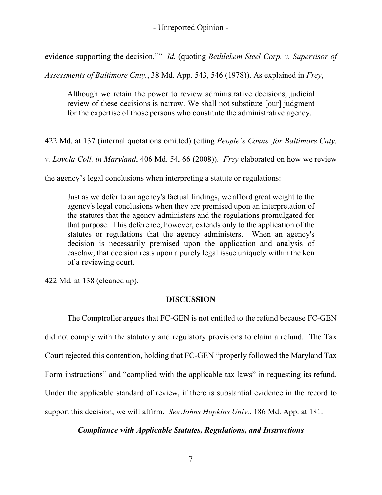evidence supporting the decision."" *Id.* (quoting *Bethlehem Steel Corp. v. Supervisor of* 

*Assessments of Baltimore Cnty.*, 38 Md. App. 543, 546 (1978)). As explained in *Frey*,

Although we retain the power to review administrative decisions, judicial review of these decisions is narrow. We shall not substitute [our] judgment for the expertise of those persons who constitute the administrative agency.

422 Md. at 137 (internal quotations omitted) (citing *People's Couns. for Baltimore Cnty.*

*v. Loyola Coll. in Maryland*, 406 Md. 54, 66 (2008)). *Frey* elaborated on how we review

the agency's legal conclusions when interpreting a statute or regulations:

Just as we defer to an agency's factual findings, we afford great weight to the agency's legal conclusions when they are premised upon an interpretation of the statutes that the agency administers and the regulations promulgated for that purpose. This deference, however, extends only to the application of the statutes or regulations that the agency administers.When an agency's decision is necessarily premised upon the application and analysis of caselaw, that decision rests upon a purely legal issue uniquely within the ken of a reviewing court.

422 Md*.* at 138 (cleaned up).

# **DISCUSSION**

The Comptroller argues that FC-GEN is not entitled to the refund because FC-GEN did not comply with the statutory and regulatory provisions to claim a refund. The Tax Court rejected this contention, holding that FC-GEN "properly followed the Maryland Tax Form instructions" and "complied with the applicable tax laws" in requesting its refund. Under the applicable standard of review, if there is substantial evidence in the record to support this decision, we will affirm. *See Johns Hopkins Univ.*, 186 Md. App. at 181.

*Compliance with Applicable Statutes, Regulations, and Instructions*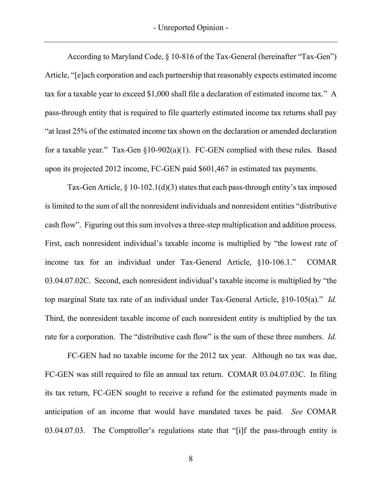According to Maryland Code, § 10-816 of the Tax-General (hereinafter "Tax-Gen") Article, "[e]ach corporation and each partnership that reasonably expects estimated income tax for a taxable year to exceed \$1,000 shall file a declaration of estimated income tax." A pass-through entity that is required to file quarterly estimated income tax returns shall pay "at least 25% of the estimated income tax shown on the declaration or amended declaration for a taxable year." Tax-Gen §10-902(a)(1). FC-GEN complied with these rules. Based upon its projected 2012 income, FC-GEN paid \$601,467 in estimated tax payments.

Tax-Gen Article,  $\S 10$ -102.1(d)(3) states that each pass-through entity's tax imposed is limited to the sum of all the nonresident individuals and nonresident entities "distributive cash flow". Figuring out this sum involves a three-step multiplication and addition process. First, each nonresident individual's taxable income is multiplied by "the lowest rate of income tax for an individual under Tax-General Article, §10-106.1." COMAR 03.04.07.02C. Second, each nonresident individual's taxable income is multiplied by "the top marginal State tax rate of an individual under Tax-General Article, §10-105(a)." *Id.* Third, the nonresident taxable income of each nonresident entity is multiplied by the tax rate for a corporation. The "distributive cash flow" is the sum of these three numbers. *Id.*

FC-GEN had no taxable income for the 2012 tax year. Although no tax was due, FC-GEN was still required to file an annual tax return. COMAR 03.04.07.03C. In filing its tax return, FC-GEN sought to receive a refund for the estimated payments made in anticipation of an income that would have mandated taxes be paid. *See* COMAR 03.04.07.03. The Comptroller's regulations state that "[i]f the pass-through entity is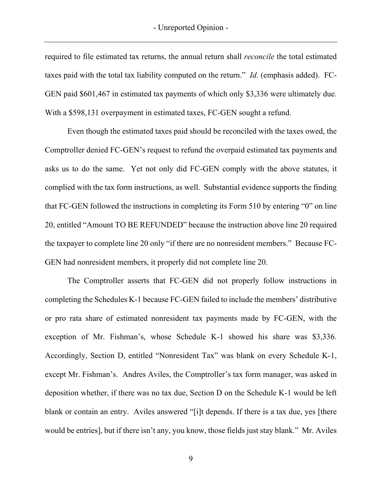required to file estimated tax returns, the annual return shall *reconcile* the total estimated taxes paid with the total tax liability computed on the return." *Id.* (emphasis added). FC-GEN paid \$601,467 in estimated tax payments of which only \$3,336 were ultimately due. With a \$598,131 overpayment in estimated taxes, FC-GEN sought a refund.

Even though the estimated taxes paid should be reconciled with the taxes owed, the Comptroller denied FC-GEN's request to refund the overpaid estimated tax payments and asks us to do the same. Yet not only did FC-GEN comply with the above statutes, it complied with the tax form instructions, as well. Substantial evidence supports the finding that FC-GEN followed the instructions in completing its Form 510 by entering "0" on line 20, entitled "Amount TO BE REFUNDED" because the instruction above line 20 required the taxpayer to complete line 20 only "if there are no nonresident members." Because FC-GEN had nonresident members, it properly did not complete line 20.

The Comptroller asserts that FC-GEN did not properly follow instructions in completing the Schedules K-1 because FC-GEN failed to include the members' distributive or pro rata share of estimated nonresident tax payments made by FC-GEN, with the exception of Mr. Fishman's, whose Schedule K-1 showed his share was \$3,336. Accordingly, Section D, entitled "Nonresident Tax" was blank on every Schedule K-1, except Mr. Fishman's. Andres Aviles, the Comptroller's tax form manager, was asked in deposition whether, if there was no tax due, Section D on the Schedule K-1 would be left blank or contain an entry. Aviles answered "[i]t depends. If there is a tax due, yes [there would be entries], but if there isn't any, you know, those fields just stay blank." Mr. Aviles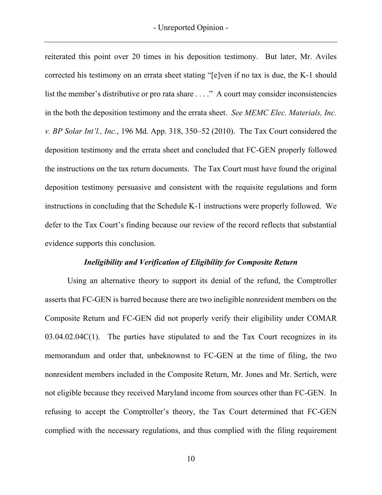reiterated this point over 20 times in his deposition testimony. But later, Mr. Aviles corrected his testimony on an errata sheet stating "[e]ven if no tax is due, the K-1 should list the member's distributive or pro rata share ...." A court may consider inconsistencies in the both the deposition testimony and the errata sheet. *See MEMC Elec. Materials, Inc. v. BP Solar Int'l., Inc.*, 196 Md. App. 318, 350–52 (2010). The Tax Court considered the deposition testimony and the errata sheet and concluded that FC-GEN properly followed the instructions on the tax return documents. The Tax Court must have found the original deposition testimony persuasive and consistent with the requisite regulations and form instructions in concluding that the Schedule K-1 instructions were properly followed. We defer to the Tax Court's finding because our review of the record reflects that substantial evidence supports this conclusion.

# *Ineligibility and Verification of Eligibility for Composite Return*

Using an alternative theory to support its denial of the refund, the Comptroller asserts that FC-GEN is barred because there are two ineligible nonresident members on the Composite Return and FC-GEN did not properly verify their eligibility under COMAR  $03.04.02.04C(1)$ . The parties have stipulated to and the Tax Court recognizes in its memorandum and order that, unbeknownst to FC-GEN at the time of filing, the two nonresident members included in the Composite Return, Mr. Jones and Mr. Sertich, were not eligible because they received Maryland income from sources other than FC-GEN. In refusing to accept the Comptroller's theory, the Tax Court determined that FC-GEN complied with the necessary regulations, and thus complied with the filing requirement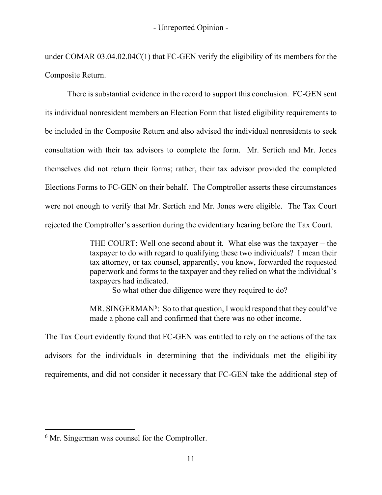under COMAR 03.04.02.04C(1) that FC-GEN verify the eligibility of its members for the Composite Return.

There is substantial evidence in the record to support this conclusion. FC-GEN sent its individual nonresident members an Election Form that listed eligibility requirements to be included in the Composite Return and also advised the individual nonresidents to seek consultation with their tax advisors to complete the form. Mr. Sertich and Mr. Jones themselves did not return their forms; rather, their tax advisor provided the completed Elections Forms to FC-GEN on their behalf. The Comptroller asserts these circumstances were not enough to verify that Mr. Sertich and Mr. Jones were eligible. The Tax Court rejected the Comptroller's assertion during the evidentiary hearing before the Tax Court.

> THE COURT: Well one second about it. What else was the taxpayer – the taxpayer to do with regard to qualifying these two individuals? I mean their tax attorney, or tax counsel, apparently, you know, forwarded the requested paperwork and forms to the taxpayer and they relied on what the individual's taxpayers had indicated.

So what other due diligence were they required to do?

MR. SINGERMAN<sup>[6](#page-11-0)</sup>: So to that question, I would respond that they could've made a phone call and confirmed that there was no other income.

The Tax Court evidently found that FC-GEN was entitled to rely on the actions of the tax advisors for the individuals in determining that the individuals met the eligibility requirements, and did not consider it necessary that FC-GEN take the additional step of

<span id="page-11-0"></span><sup>&</sup>lt;sup>6</sup> Mr. Singerman was counsel for the Comptroller.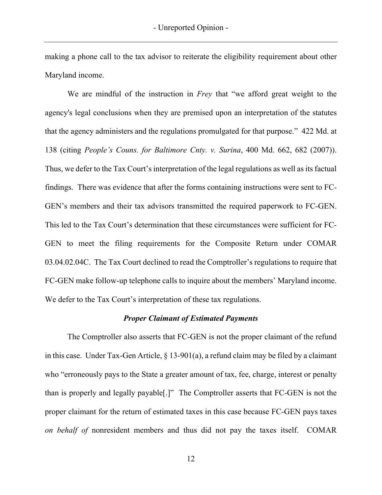making a phone call to the tax advisor to reiterate the eligibility requirement about other Maryland income.

We are mindful of the instruction in *Frey* that "we afford great weight to the agency's legal conclusions when they are premised upon an interpretation of the statutes that the agency administers and the regulations promulgated for that purpose." 422 Md. at 138 (citing *People's Couns. for Baltimore Cnty. v. Surina*, 400 Md. 662, 682 (2007)). Thus, we defer to the Tax Court's interpretation of the legal regulations as well as its factual findings. There was evidence that after the forms containing instructions were sent to FC-GEN's members and their tax advisors transmitted the required paperwork to FC-GEN. This led to the Tax Court's determination that these circumstances were sufficient for FC-GEN to meet the filing requirements for the Composite Return under COMAR 03.04.02.04C. The Tax Court declined to read the Comptroller's regulations to require that FC-GEN make follow-up telephone calls to inquire about the members' Maryland income. We defer to the Tax Court's interpretation of these tax regulations.

#### *Proper Claimant of Estimated Payments*

The Comptroller also asserts that FC-GEN is not the proper claimant of the refund in this case. Under Tax-Gen Article, § 13-901(a), a refund claim may be filed by a claimant who "erroneously pays to the State a greater amount of tax, fee, charge, interest or penalty than is properly and legally payable[.]" The Comptroller asserts that FC-GEN is not the proper claimant for the return of estimated taxes in this case because FC-GEN pays taxes *on behalf of* nonresident members and thus did not pay the taxes itself. COMAR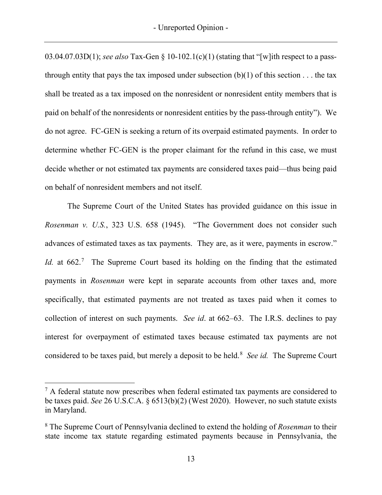03.04.07.03D(1); *see also* Tax-Gen § 10-102.1(c)(1) (stating that "[w]ith respect to a passthrough entity that pays the tax imposed under subsection  $(b)(1)$  of this section ... the tax shall be treated as a tax imposed on the nonresident or nonresident entity members that is paid on behalf of the nonresidents or nonresident entities by the pass-through entity"). We do not agree. FC-GEN is seeking a return of its overpaid estimated payments. In order to determine whether FC-GEN is the proper claimant for the refund in this case, we must decide whether or not estimated tax payments are considered taxes paid—thus being paid on behalf of nonresident members and not itself.

The Supreme Court of the United States has provided guidance on this issue in *Rosenman v. U.S.*, 323 U.S. 658 (1945). "The Government does not consider such advances of estimated taxes as tax payments. They are, as it were, payments in escrow." *Id.* at 662.<sup>[7](#page-13-0)</sup> The Supreme Court based its holding on the finding that the estimated payments in *Rosenman* were kept in separate accounts from other taxes and, more specifically, that estimated payments are not treated as taxes paid when it comes to collection of interest on such payments. *See id*. at 662–63. The I.R.S. declines to pay interest for overpayment of estimated taxes because estimated tax payments are not considered to be taxes paid, but merely a deposit to be held.<sup>[8](#page-13-1)</sup> See id. The Supreme Court

<span id="page-13-0"></span> $7$  A federal statute now prescribes when federal estimated tax payments are considered to be taxes paid. *See* 26 U.S.C.A. § 6513(b)(2) (West 2020). However, no such statute exists in Maryland.

<span id="page-13-1"></span><sup>8</sup> The Supreme Court of Pennsylvania declined to extend the holding of *Rosenman* to their state income tax statute regarding estimated payments because in Pennsylvania, the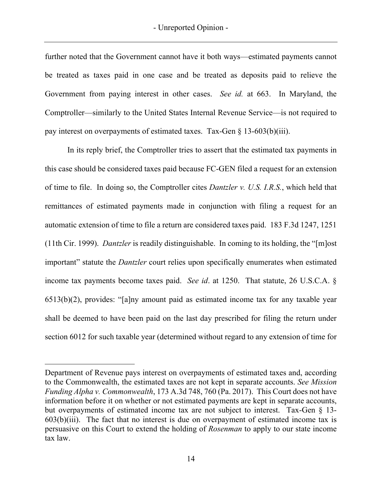further noted that the Government cannot have it both ways—estimated payments cannot be treated as taxes paid in one case and be treated as deposits paid to relieve the Government from paying interest in other cases. *See id.* at 663. In Maryland, the Comptroller—similarly to the United States Internal Revenue Service—is not required to pay interest on overpayments of estimated taxes. Tax-Gen § 13-603(b)(iii).

In its reply brief, the Comptroller tries to assert that the estimated tax payments in this case should be considered taxes paid because FC-GEN filed a request for an extension of time to file. In doing so, the Comptroller cites *Dantzler v. U.S. I.R.S.*, which held that remittances of estimated payments made in conjunction with filing a request for an automatic extension of time to file a return are considered taxes paid. 183 F.3d 1247, 1251 (11th Cir. 1999). *Dantzler* is readily distinguishable. In coming to its holding, the "[m]ost important" statute the *Dantzler* court relies upon specifically enumerates when estimated income tax payments become taxes paid. *See id*. at 1250. That statute, 26 U.S.C.A. § 6513(b)(2), provides: "[a]ny amount paid as estimated income tax for any taxable year shall be deemed to have been paid on the last day prescribed for filing the return under section 6012 for such taxable year (determined without regard to any extension of time for

Department of Revenue pays interest on overpayments of estimated taxes and, according to the Commonwealth, the estimated taxes are not kept in separate accounts. *See Mission Funding Alpha v. Commonwealth*, 173 A.3d 748, 760 (Pa. 2017). This Court does not have information before it on whether or not estimated payments are kept in separate accounts, but overpayments of estimated income tax are not subject to interest. Tax-Gen § 13-  $603(b)(iii)$ . The fact that no interest is due on overpayment of estimated income tax is persuasive on this Court to extend the holding of *Rosenman* to apply to our state income tax law.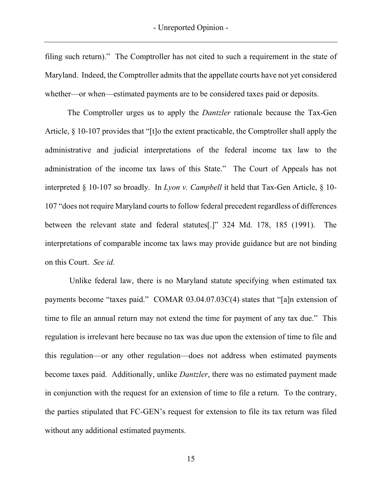filing such return)." The Comptroller has not cited to such a requirement in the state of Maryland. Indeed, the Comptroller admits that the appellate courts have not yet considered whether—or when—estimated payments are to be considered taxes paid or deposits.

The Comptroller urges us to apply the *Dantzler* rationale because the Tax-Gen Article, § 10-107 provides that "[t]o the extent practicable, the Comptroller shall apply the administrative and judicial interpretations of the federal income tax law to the administration of the income tax laws of this State." The Court of Appeals has not interpreted § 10-107 so broadly. In *Lyon v. Campbell* it held that Tax-Gen Article, § 10- 107 "does not require Maryland courts to follow federal precedent regardless of differences between the relevant state and federal statutes[.]" 324 Md. 178, 185 (1991). The interpretations of comparable income tax laws may provide guidance but are not binding on this Court. *See id.*

Unlike federal law, there is no Maryland statute specifying when estimated tax payments become "taxes paid." COMAR 03.04.07.03C(4) states that "[a]n extension of time to file an annual return may not extend the time for payment of any tax due." This regulation is irrelevant here because no tax was due upon the extension of time to file and this regulation—or any other regulation—does not address when estimated payments become taxes paid. Additionally, unlike *Dantzler*, there was no estimated payment made in conjunction with the request for an extension of time to file a return. To the contrary, the parties stipulated that FC-GEN's request for extension to file its tax return was filed without any additional estimated payments.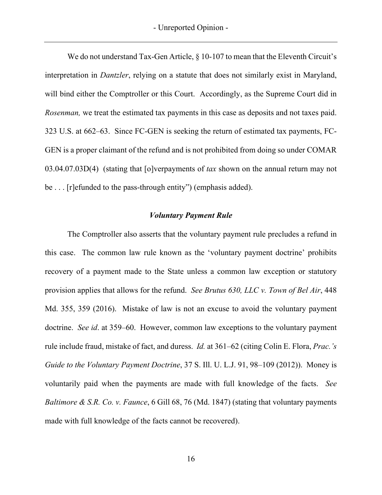We do not understand Tax-Gen Article, § 10-107 to mean that the Eleventh Circuit's interpretation in *Dantzler*, relying on a statute that does not similarly exist in Maryland, will bind either the Comptroller or this Court. Accordingly, as the Supreme Court did in *Rosenman,* we treat the estimated tax payments in this case as deposits and not taxes paid. 323 U.S. at 662–63. Since FC-GEN is seeking the return of estimated tax payments, FC-GEN is a proper claimant of the refund and is not prohibited from doing so under COMAR 03.04.07.03D(4) (stating that [o]verpayments of *tax* shown on the annual return may not be . . . [r]efunded to the pass-through entity") (emphasis added).

#### *Voluntary Payment Rule*

The Comptroller also asserts that the voluntary payment rule precludes a refund in this case. The common law rule known as the 'voluntary payment doctrine' prohibits recovery of a payment made to the State unless a common law exception or statutory provision applies that allows for the refund. *See Brutus 630, LLC v. Town of Bel Air*, 448 Md. 355, 359 (2016). Mistake of law is not an excuse to avoid the voluntary payment doctrine. *See id*. at 359–60. However, common law exceptions to the voluntary payment rule include fraud, mistake of fact, and duress. *Id.* at 361–62 (citing Colin E. Flora, *Prac.'s Guide to the Voluntary Payment Doctrine*, 37 S. Ill. U. L.J. 91, 98–109 (2012)). Money is voluntarily paid when the payments are made with full knowledge of the facts. *See Baltimore & S.R. Co. v. Faunce*, 6 Gill 68, 76 (Md. 1847) (stating that voluntary payments made with full knowledge of the facts cannot be recovered).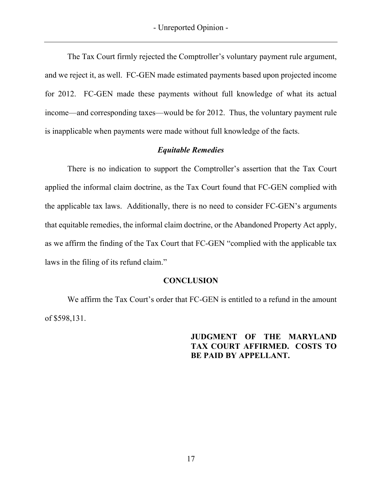The Tax Court firmly rejected the Comptroller's voluntary payment rule argument, and we reject it, as well. FC-GEN made estimated payments based upon projected income for 2012. FC-GEN made these payments without full knowledge of what its actual income—and corresponding taxes—would be for 2012. Thus, the voluntary payment rule is inapplicable when payments were made without full knowledge of the facts.

# *Equitable Remedies*

There is no indication to support the Comptroller's assertion that the Tax Court applied the informal claim doctrine, as the Tax Court found that FC-GEN complied with the applicable tax laws. Additionally, there is no need to consider FC-GEN's arguments that equitable remedies, the informal claim doctrine, or the Abandoned Property Act apply, as we affirm the finding of the Tax Court that FC-GEN "complied with the applicable tax laws in the filing of its refund claim."

# **CONCLUSION**

We affirm the Tax Court's order that FC-GEN is entitled to a refund in the amount of \$598,131.

> **JUDGMENT OF THE MARYLAND TAX COURT AFFIRMED. COSTS TO BE PAID BY APPELLANT.**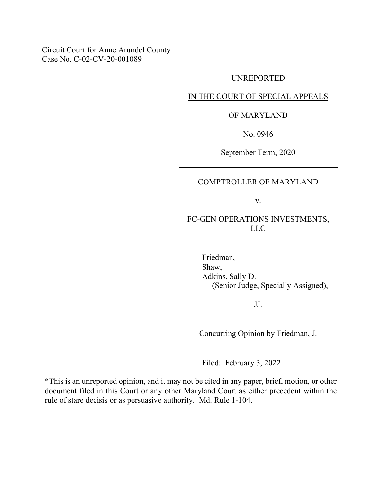Circuit Court for Anne Arundel County Case No. C-02-CV-20-001089

#### UNREPORTED

# IN THE COURT OF SPECIAL APPEALS

#### OF MARYLAND

No. 0946

September Term, 2020

# COMPTROLLER OF MARYLAND

v.

FC-GEN OPERATIONS INVESTMENTS, LLC

Friedman, Shaw, Adkins, Sally D. (Senior Judge, Specially Assigned),

JJ.

Concurring Opinion by Friedman, J.

Filed: February 3, 2022

\*This is an unreported opinion, and it may not be cited in any paper, brief, motion, or other document filed in this Court or any other Maryland Court as either precedent within the rule of stare decisis or as persuasive authority. Md. Rule 1-104.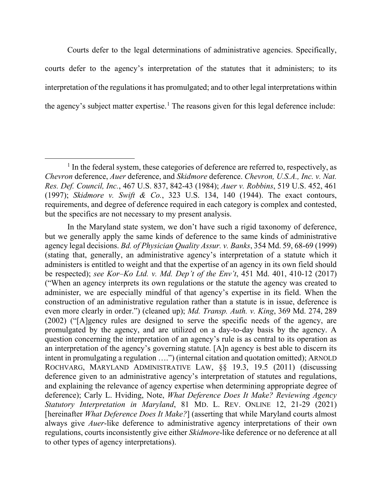Courts defer to the legal determinations of administrative agencies. Specifically, courts defer to the agency's interpretation of the statutes that it administers; to its interpretation of the regulations it has promulgated; and to other legal interpretations within the agency's subject matter expertise.<sup>[1](#page-19-0)</sup> The reasons given for this legal deference include:

<span id="page-19-0"></span><sup>&</sup>lt;sup>1</sup> In the federal system, these categories of deference are referred to, respectively, as *Chevron* deference, *Auer* deference, and *Skidmore* deference. *Chevron, U.S.A., Inc. v. Nat. Res. Def. Council, Inc.*, 467 U.S. 837, 842-43 (1984); *Auer v. Robbins*, 519 U.S. 452, 461 (1997); *Skidmore v. Swift & Co.*, 323 U.S. 134, 140 (1944). The exact contours, requirements, and degree of deference required in each category is complex and contested, but the specifics are not necessary to my present analysis.

In the Maryland state system, we don't have such a rigid taxonomy of deference, but we generally apply the same kinds of deference to the same kinds of administrative agency legal decisions. *Bd. of Physician Quality Assur. v. Banks*, 354 Md. 59, 68-69 (1999) (stating that, generally, an administrative agency's interpretation of a statute which it administers is entitled to weight and that the expertise of an agency in its own field should be respected); *see Kor–Ko Ltd. v. Md. Dep't of the Env't*, 451 Md. 401, 410-12 (2017) ("When an agency interprets its own regulations or the statute the agency was created to administer, we are especially mindful of that agency's expertise in its field. When the construction of an administrative regulation rather than a statute is in issue, deference is even more clearly in order.") (cleaned up); *Md. Transp. Auth. v. King*, 369 Md. 274, 289 (2002) ("[A]gency rules are designed to serve the specific needs of the agency, are promulgated by the agency, and are utilized on a day-to-day basis by the agency. A question concerning the interpretation of an agency's rule is as central to its operation as an interpretation of the agency's governing statute. [A]n agency is best able to discern its intent in promulgating a regulation ….") (internal citation and quotation omitted); ARNOLD ROCHVARG, MARYLAND ADMINISTRATIVE LAW, §§ 19.3, 19.5 (2011) (discussing deference given to an administrative agency's interpretation of statutes and regulations, and explaining the relevance of agency expertise when determining appropriate degree of deference); Carly L. Hviding, Note, *What Deference Does It Make? Reviewing Agency Statutory Interpretation in Maryland*, 81 MD. L. REV. ONLINE 12, 21-29 (2021) [hereinafter *What Deference Does It Make?*] (asserting that while Maryland courts almost always give *Auer*-like deference to administrative agency interpretations of their own regulations, courts inconsistently give either *Skidmore*-like deference or no deference at all to other types of agency interpretations).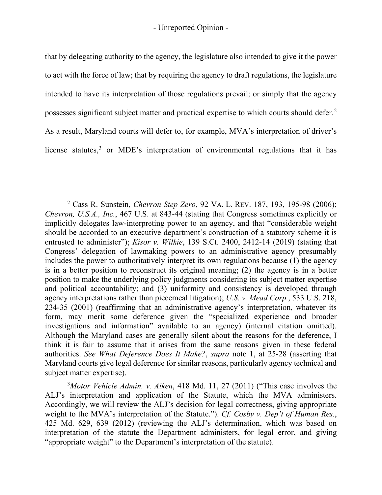that by delegating authority to the agency, the legislature also intended to give it the power to act with the force of law; that by requiring the agency to draft regulations, the legislature intended to have its interpretation of those regulations prevail; or simply that the agency possesses significant subject matter and practical expertise to which courts should defer.[2](#page-20-0) As a result, Maryland courts will defer to, for example, MVA's interpretation of driver's license statutes,<sup>[3](#page-20-1)</sup> or MDE's interpretation of environmental regulations that it has

<span id="page-20-1"></span>3 *Motor Vehicle Admin. v. Aiken*, 418 Md. 11, 27 (2011) ("This case involves the ALJ's interpretation and application of the Statute, which the MVA administers. Accordingly, we will review the ALJ's decision for legal correctness, giving appropriate weight to the MVA's interpretation of the Statute."). *Cf. Cosby v. Dep't of Human Res.*, 425 Md. 629, 639 (2012) (reviewing the ALJ's determination, which was based on interpretation of the statute the Department administers, for legal error, and giving "appropriate weight" to the Department's interpretation of the statute).

<span id="page-20-0"></span><sup>2</sup> Cass R. Sunstein, *Chevron Step Zero*, 92 VA. L. REV. 187, 193, 195-98 (2006); *Chevron, U.S.A., Inc.*, 467 U.S. at 843-44 (stating that Congress sometimes explicitly or implicitly delegates law-interpreting power to an agency, and that "considerable weight should be accorded to an executive department's construction of a statutory scheme it is entrusted to administer"); *Kisor v. Wilkie*, 139 S.Ct. 2400, 2412-14 (2019) (stating that Congress' delegation of lawmaking powers to an administrative agency presumably includes the power to authoritatively interpret its own regulations because (1) the agency is in a better position to reconstruct its original meaning; (2) the agency is in a better position to make the underlying policy judgments considering its subject matter expertise and political accountability; and (3) uniformity and consistency is developed through agency interpretations rather than piecemeal litigation); *U.S. v. Mead Corp.*, 533 U.S. 218, 234-35 (2001) (reaffirming that an administrative agency's interpretation, whatever its form, may merit some deference given the "specialized experience and broader investigations and information" available to an agency) (internal citation omitted). Although the Maryland cases are generally silent about the reasons for the deference, I think it is fair to assume that it arises from the same reasons given in these federal authorities. *See What Deference Does It Make?*, *supra* note 1, at 25-28 (asserting that Maryland courts give legal deference for similar reasons, particularly agency technical and subject matter expertise).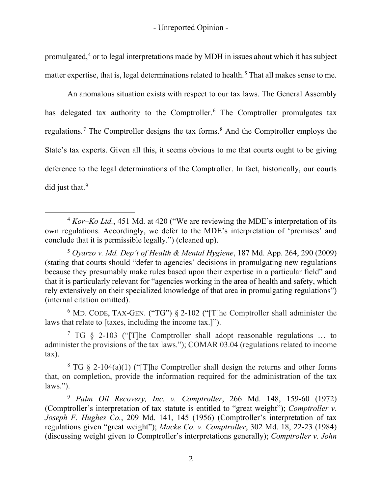promulgated,[4](#page-21-0) or to legal interpretations made by MDH in issues about which it has subject matter expertise, that is, legal determinations related to health.<sup>[5](#page-21-1)</sup> That all makes sense to me.

An anomalous situation exists with respect to our tax laws. The General Assembly has delegated tax authority to the Comptroller.<sup>[6](#page-21-2)</sup> The Comptroller promulgates tax regulations.<sup>[7](#page-21-3)</sup> The Comptroller designs the tax forms.<sup>[8](#page-21-4)</sup> And the Comptroller employs the State's tax experts. Given all this, it seems obvious to me that courts ought to be giving deference to the legal determinations of the Comptroller. In fact, historically, our courts did just that.<sup>[9](#page-21-5)</sup>

<span id="page-21-2"></span><sup>6</sup> MD. CODE, TAX-GEN. ("TG") § 2-102 ("[T]he Comptroller shall administer the laws that relate to [taxes, including the income tax.]").

<span id="page-21-3"></span><sup>7</sup> TG  $\S$  2-103 ("[T]he Comptroller shall adopt reasonable regulations ... to administer the provisions of the tax laws."); COMAR 03.04 (regulations related to income tax).

<span id="page-21-4"></span><sup>8</sup> TG § 2-104(a)(1) ("[T]he Comptroller shall design the returns and other forms that, on completion, provide the information required for the administration of the tax laws.").

<span id="page-21-5"></span><sup>9</sup> *Palm Oil Recovery, Inc. v. Comptroller*, 266 Md. 148, 159-60 (1972) (Comptroller's interpretation of tax statute is entitled to "great weight"); *Comptroller v. Joseph F. Hughes Co.*, 209 Md. 141, 145 (1956) (Comptroller's interpretation of tax regulations given "great weight"); *Macke Co. v. Comptroller*, 302 Md. 18, 22-23 (1984) (discussing weight given to Comptroller's interpretations generally); *Comptroller v. John* 

<span id="page-21-0"></span><sup>&</sup>lt;sup>4</sup> *Kor–Ko Ltd.*, 451 Md. at 420 ("We are reviewing the MDE's interpretation of its own regulations. Accordingly, we defer to the MDE's interpretation of 'premises' and conclude that it is permissible legally.") (cleaned up).

<span id="page-21-1"></span><sup>5</sup> *Oyarzo v. Md. Dep't of Health & Mental Hygiene*, 187 Md. App. 264, 290 (2009) (stating that courts should "defer to agencies' decisions in promulgating new regulations because they presumably make rules based upon their expertise in a particular field" and that it is particularly relevant for "agencies working in the area of health and safety, which rely extensively on their specialized knowledge of that area in promulgating regulations") (internal citation omitted).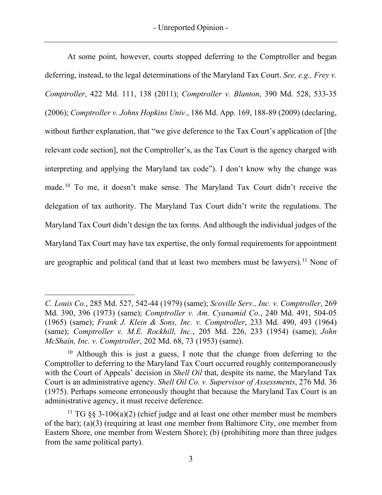At some point, however, courts stopped deferring to the Comptroller and began deferring, instead, to the legal determinations of the Maryland Tax Court. *See, e.g., Frey v. Comptroller*, 422 Md. 111, 138 (2011); *Comptroller v. Blanton*, 390 Md. 528, 533-35 (2006); *Comptroller v. Johns Hopkins Univ.*, 186 Md. App. 169, 188-89 (2009) (declaring, without further explanation, that "we give deference to the Tax Court's application of [the relevant code section], not the Comptroller's, as the Tax Court is the agency charged with interpreting and applying the Maryland tax code"). I don't know why the change was made.<sup>[10](#page-22-0)</sup> To me, it doesn't make sense. The Maryland Tax Court didn't receive the delegation of tax authority. The Maryland Tax Court didn't write the regulations. The Maryland Tax Court didn't design the tax forms. And although the individual judges of the Maryland Tax Court may have tax expertise, the only formal requirements for appointment are geographic and political (and that at least two members must be lawyers).<sup>[11](#page-22-1)</sup> None of

*C. Louis Co.*, 285 Md. 527, 542-44 (1979) (same); *Scoville Serv., Inc. v. Comptroller*, 269 Md. 390, 396 (1973) (same); *Comptroller v. Am. Cyanamid Co.*, 240 Md. 491, 504-05 (1965) (same); *Frank J. Klein & Sons, Inc. v. Comptroller*, 233 Md. 490, 493 (1964) (same); *Comptroller v. M.E. Rockhill, Inc.*, 205 Md. 226, 233 (1954) (same); *John McShain, Inc. v. Comptroller*, 202 Md. 68, 73 (1953) (same).

<span id="page-22-0"></span> $10$  Although this is just a guess, I note that the change from deferring to the Comptroller to deferring to the Maryland Tax Court occurred roughly contemporaneously with the Court of Appeals' decision in *Shell Oil* that, despite its name, the Maryland Tax Court is an administrative agency. *Shell Oil Co. v. Supervisor of Assessments*, 276 Md. 36 (1975). Perhaps someone erroneously thought that because the Maryland Tax Court is an administrative agency, it must receive deference.

<span id="page-22-1"></span><sup>&</sup>lt;sup>11</sup> TG  $\S$ § 3-106(a)(2) (chief judge and at least one other member must be members of the bar); (a)(3) (requiring at least one member from Baltimore City, one member from Eastern Shore, one member from Western Shore); (b) (prohibiting more than three judges from the same political party).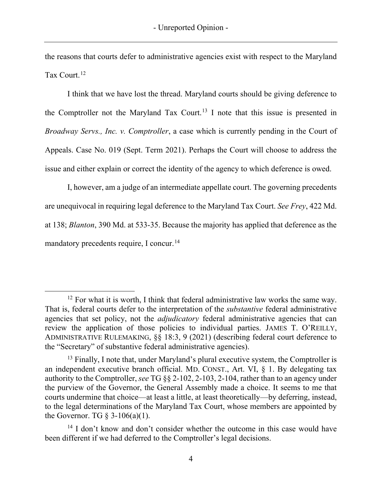the reasons that courts defer to administrative agencies exist with respect to the Maryland Tax Court.<sup>[12](#page-23-0)</sup>

I think that we have lost the thread. Maryland courts should be giving deference to the Comptroller not the Maryland Tax Court.<sup>[13](#page-23-1)</sup> I note that this issue is presented in *Broadway Servs., Inc. v. Comptroller*, a case which is currently pending in the Court of Appeals. Case No. 019 (Sept. Term 2021). Perhaps the Court will choose to address the issue and either explain or correct the identity of the agency to which deference is owed.

I, however, am a judge of an intermediate appellate court. The governing precedents are unequivocal in requiring legal deference to the Maryland Tax Court. *See Frey*, 422 Md. at 138; *Blanton*, 390 Md. at 533-35. Because the majority has applied that deference as the mandatory precedents require, I concur.<sup>[14](#page-23-2)</sup>

<span id="page-23-0"></span> $12$  For what it is worth, I think that federal administrative law works the same way. That is, federal courts defer to the interpretation of the *substantive* federal administrative agencies that set policy, not the *adjudicatory* federal administrative agencies that can review the application of those policies to individual parties. JAMES T. O'REILLY, ADMINISTRATIVE RULEMAKING, §§ 18:3, 9 (2021) (describing federal court deference to the "Secretary" of substantive federal administrative agencies).

<span id="page-23-1"></span> $<sup>13</sup>$  Finally, I note that, under Maryland's plural executive system, the Comptroller is</sup> an independent executive branch official. MD. CONST., Art. VI, § 1. By delegating tax authority to the Comptroller, *see* TG §§ 2-102, 2-103, 2-104, rather than to an agency under the purview of the Governor, the General Assembly made a choice. It seems to me that courts undermine that choice—at least a little, at least theoretically—by deferring, instead, to the legal determinations of the Maryland Tax Court, whose members are appointed by the Governor. TG  $\S$  3-106(a)(1).

<span id="page-23-2"></span> $14$  I don't know and don't consider whether the outcome in this case would have been different if we had deferred to the Comptroller's legal decisions.